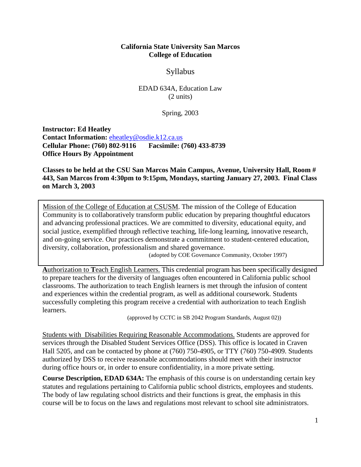#### **California State University San Marcos College of Education**

# Syllabus

EDAD 634A, Education Law (2 units)

Spring, 2003

**Instructor: Ed Heatley Contact Information:** [eheatley@osdie.k12.ca.us](mailto:jwhitlock@fuesd.k12.ca.us) **Cellular Phone: (760) 802-9116 Facsimile: (760) 433-8739 Office Hours By Appointment**

**Classes to be held at the CSU San Marcos Main Campus, Avenue, University Hall, Room # 443, San Marcos from 4:30pm to 9:15pm, Mondays, starting January 27, 2003. Final Class on March 3, 2003**

Mission of the College of Education at CSUSM. The mission of the College of Education Community is to collaboratively transform public education by preparing thoughtful educators and advancing professional practices. We are committed to diversity, educational equity, and social justice, exemplified through reflective teaching, life-long learning, innovative research, and on-going service. Our practices demonstrate a commitment to student-centered education, diversity, collaboration, professionalism and shared governance.

(adopted by COE Governance Community, October 1997)

**A**uthorization to **T**each English Learners. This credential program has been specifically designed to prepare teachers for the diversity of languages often encountered in California public school classrooms. The authorization to teach English learners is met through the infusion of content and experiences within the credential program, as well as additional coursework. Students successfully completing this program receive a credential with authorization to teach English learners.

(approved by CCTC in SB 2042 Program Standards, August 02))

Students with Disabilities Requiring Reasonable Accommodations. Students are approved for services through the Disabled Student Services Office (DSS). This office is located in Craven Hall 5205, and can be contacted by phone at (760) 750-4905, or TTY (760) 750-4909. Students authorized by DSS to receive reasonable accommodations should meet with their instructor during office hours or, in order to ensure confidentiality, in a more private setting.

**Course Description, EDAD 634A:** The emphasis of this course is on understanding certain key statutes and regulations pertaining to California public school districts, employees and students. The body of law regulating school districts and their functions is great, the emphasis in this course will be to focus on the laws and regulations most relevant to school site administrators.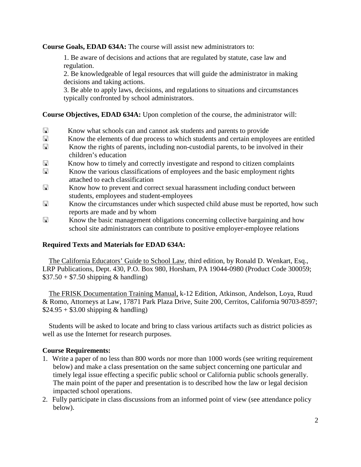**Course Goals, EDAD 634A:** The course will assist new administrators to:

1. Be aware of decisions and actions that are regulated by statute, case law and regulation.

2. Be knowledgeable of legal resources that will guide the administrator in making decisions and taking actions.

3. Be able to apply laws, decisions, and regulations to situations and circumstances typically confronted by school administrators.

**Course Objectives, EDAD 634A:** Upon completion of the course, the administrator will:

- Know what schools can and cannot ask students and parents to provide
- Know the elements of due process to which students and certain employees are entitled
- Know the rights of parents, including non-custodial parents, to be involved in their children's education
- Know how to timely and correctly investigate and respond to citizen complaints
- **Exercise 2.1** Know the various classifications of employees and the basic employment rights attached to each classification
- **K** Know how to prevent and correct sexual harassment including conduct between students, employees and student-employees
- Know the circumstances under which suspected child abuse must be reported, how such reports are made and by whom
- Know the basic management obligations concerning collective bargaining and how school site administrators can contribute to positive employer-employee relations

# **Required Texts and Materials for EDAD 634A:**

The California Educators' Guide to School Law, third edition, by Ronald D. Wenkart, Esq., LRP Publications, Dept. 430, P.O. Box 980, Horsham, PA 19044-0980 (Product Code 300059;  $$37.50 + $7.50$  shipping & handling)

The FRISK Documentation Training Manual, k-12 Edition, Atkinson, Andelson, Loya, Ruud & Romo, Attorneys at Law, 17871 Park Plaza Drive, Suite 200, Cerritos, California 90703-8597;  $$24.95 + $3.00$  shipping & handling)

Students will be asked to locate and bring to class various artifacts such as district policies as well as use the Internet for research purposes.

#### **Course Requirements:**

- 1. Write a paper of no less than 800 words nor more than 1000 words (see writing requirement below) and make a class presentation on the same subject concerning one particular and timely legal issue effecting a specific public school or California public schools generally. The main point of the paper and presentation is to described how the law or legal decision impacted school operations.
- 2. Fully participate in class discussions from an informed point of view (see attendance policy below).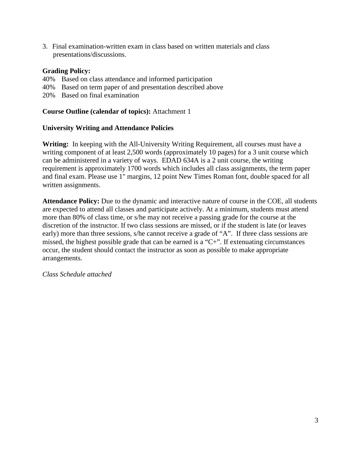3. Final examination-written exam in class based on written materials and class presentations/discussions.

#### **Grading Policy:**

- 40% Based on class attendance and informed participation
- 40% Based on term paper of and presentation described above
- 20% Based on final examination

## **Course Outline (calendar of topics):** Attachment 1

## **University Writing and Attendance Policies**

**Writing:** In keeping with the All-University Writing Requirement, all courses must have a writing component of at least 2,500 words (approximately 10 pages) for a 3 unit course which can be administered in a variety of ways. EDAD 634A is a 2 unit course, the writing requirement is approximately 1700 words which includes all class assignments, the term paper and final exam. Please use 1" margins, 12 point New Times Roman font, double spaced for all written assignments.

**Attendance Policy:** Due to the dynamic and interactive nature of course in the COE, all students are expected to attend all classes and participate actively. At a minimum, students must attend more than 80% of class time, or s/he may not receive a passing grade for the course at the discretion of the instructor. If two class sessions are missed, or if the student is late (or leaves early) more than three sessions, s/he cannot receive a grade of "A". If three class sessions are missed, the highest possible grade that can be earned is a "C+". If extenuating circumstances occur, the student should contact the instructor as soon as possible to make appropriate arrangements.

*Class Schedule attached*